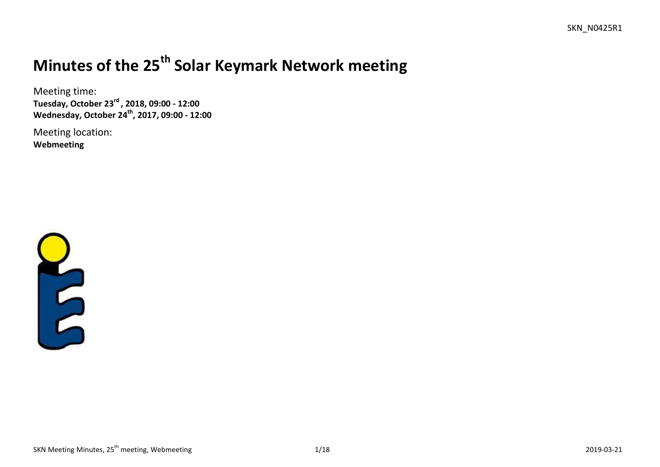# **Minutes of the 25 th Solar Keymark Network meeting**

Meeting time: **Tuesday, October 23rd , 2018, 09:00 - 12:00 Wednesday, October 24th , 2017, 09:00 - 12:00**

Meeting location: **Webmeeting**

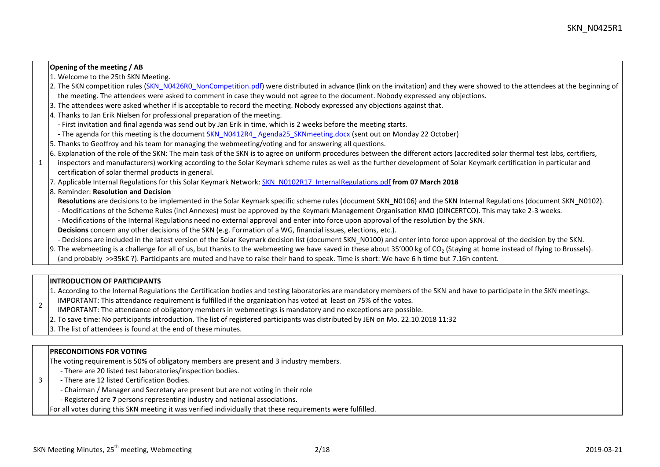## **Opening of the meeting / AB** 1. Welcome to the 25th SKN Meeting. 2. The SKN competition rules [\(SKN\\_N0426R0\\_NonCompetition.pdf\)](http://www.estif.org/solarkeymark/Links/Internal_links/network/sknwebdoclist/SKN_N0426R0_NonCompetition.pdf) were distributed in advance (link on the invitation) and they were showed to the attendees at the beginning of the meeting. The attendees were asked to comment in case they would not agree to the document. Nobody expressed any objections. 3. The attendees were asked whether if is acceptable to record the meeting. Nobody expressed any objections against that. 4. Thanks to Jan Erik Nielsen for professional preparation of the meeting. - First invitation and final agenda was send out by Jan Erik in time, which is 2 weeks before the meeting starts. - The agenda for this meeting is the documen[t SKN\\_N0412R4\\_ Agenda25\\_SKNmeeting.docx](http://www.estif.org/solarkeymark/Links/Internal_links/network/sknwebdoclist/SKN_N0412R3_%20Agenda25_SKNmeeting.docx) (sent out on Monday 22 October) 5. Thanks to Geoffroy and his team for managing the webmeeting/voting and for answering all questions. 6. Explanation of the role of the SKN: The main task of the SKN is to agree on uniform procedures between the different actors (accredited solar thermal test labs, certifiers, inspectors and manufacturers) working according to the Solar Keymark scheme rules as well as the further development of Solar Keymark certification in particular and certification of solar thermal products in general. 7. Applicable Internal Regulations for this Solar Keymark Network: [SKN\\_N0102R17\\_InternalRegulations.pdf](http://www.estif.org/solarkeymark/Links/Internal_links/network/sknwebdoclist/SKN_N0102R17_InternalRegulations.pdf) **from 07 March 2018** 8. Reminder: **Resolution and Decision** Resolutions are decisions to be implemented in the Solar Keymark specific scheme rules (document SKN\_N0106) and the SKN Internal Regulations (document SKN\_N0102). - Modifications of the Scheme Rules (incl Annexes) must be approved by the Keymark Management Organisation KMO (DINCERTCO). This may take 2-3 weeks. - Modifications of the Internal Regulations need no external approval and enter into force upon approval of the resolution by the SKN. **Decisions** concern any other decisions of the SKN (e.g. Formation of a WG, financial issues, elections, etc.). - Decisions are included in the latest version of the Solar Keymark decision list (document SKN\_N0100) and enter into force upon approval of the decision by the SKN. 9. The webmeeting is a challenge for all of us, but thanks to the webmeeting we have saved in these about 35'000 kg of CO<sub>2</sub> (Staying at home instead of flying to Brussels). (and probably >>35k€ ?). Participants are muted and have to raise their hand to speak. Time is short: We have 6 h time but 7.16h content. **INTRODUCTION OF PARTICIPANTS**

- 1. According to the Internal Regulations the Certification bodies and testing laboratories are mandatory members of the SKN and have to participate in the SKN meetings. IMPORTANT: This attendance requirement is fulfilled if the organization has voted at least on 75% of the votes.
- IMPORTANT: The attendance of obligatory members in webmeetings is mandatory and no exceptions are possible.
- 2. To save time: No participants introduction. The list of registered participants was distributed by JEN on Mo. 22.10.2018 11:32
- 3. The list of attendees is found at the end of these minutes.

#### **PRECONDITIONS FOR VOTING**

1

2

The voting requirement is 50% of obligatory members are present and 3 industry members.

- There are 20 listed test laboratories/inspection bodies.
- 3 - There are 12 listed Certification Bodies.
	- Chairman / Manager and Secretary are present but are not voting in their role
	- Registered are **7** persons representing industry and national associations.

For all votes during this SKN meeting it was verified individually that these requirements were fulfilled.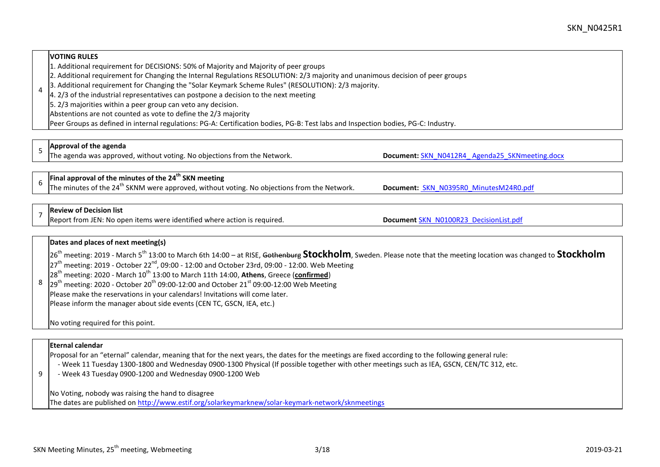**SKN N0425R1** 

#### **VOTING RULES**

4

6

7

- 1. Additional requirement for DECISIONS: 50% of Majority and Majority of peer groups
- 2. Additional requirement for Changing the Internal Regulations RESOLUTION: 2/3 majority and unanimous decision of peer groups
- 3. Additional requirement for Changing the "Solar Keymark Scheme Rules" (RESOLUTION): 2/3 majority.
- 4. 2/3 of the industrial representatives can postpone a decision to the next meeting
- 5. 2/3 majorities within a peer group can veto any decision.
- Abstentions are not counted as vote to define the 2/3 majority
- Peer Groups as defined in internal regulations: PG-A: Certification bodies, PG-B: Test labs and Inspection bodies, PG-C: Industry.

#### 5 **Approval of the agenda**

The agenda was approved, without voting. No objections from the Network. **Document:** [SKN\\_N0412R4\\_ Agenda25\\_SKNmeeting.docx](http://www.estif.org/solarkeymark/Links/Internal_links/network/sknwebdoclist/SKN_N0412R3_%20Agenda25_SKNmeeting.docx)

## **Final approval of the minutes of the 24 th SKN meeting**

The minutes of the 24<sup>th</sup> SKNM were approved, without voting. No objections from the Network. **Document:** [SKN\\_N0395R0\\_MinutesM24R0.pdf](http://www.estif.org/solarkeymark/Links/Internal_links/network/sknwebdoclist/SKN_N0358R1_FinalMinutesM23.pdf)

### **Review of Decision list**

Report from JEN: No open items were identified where action is required. **Document [SKN\\_N0100R23\\_DecisionList.pdf](http://www.estif.org/solarkeymark/Links/Internal_links/network/sknwebdoclist/SKN_N0100R23_DecisionList.pdf)** 

#### **Dates and places of next meeting(s)**

- 26th meeting: 2019 March 5th 13:00 to March 6th 14:00 at RISE, Gothenburg **Stockholm**, Sweden. Please note that the meeting location was changed to **Stockholm**
- 27<sup>th</sup> meeting: 2019 October 22<sup>nd</sup>, 09:00 12:00 and October 23rd, 09:00 12:00. Web Meeting
- 28<sup>th</sup> meeting: 2020 March 10<sup>th</sup> 13:00 to March 11th 14:00, Athens, Greece (confirmed)
- 8  $29<sup>th</sup>$  meeting: 2020 - October 20<sup>th</sup> 09:00-12:00 and October 21<sup>st</sup> 09:00-12:00 Web Meeting
- Please make the reservations in your calendars! Invitations will come later.
- Please inform the manager about side events (CEN TC, GSCN, IEA, etc.)

#### **Eternal calendar**

Proposal for an "eternal" calendar, meaning that for the next years, the dates for the meetings are fixed according to the following general rule:

- Week 11 Tuesday 1300-1800 and Wednesday 0900-1300 Physical (If possible together with other meetings such as IEA, GSCN, CEN/TC 312, etc.
- 9 - Week 43 Tuesday 0900-1200 and Wednesday 0900-1200 Web

No Voting, nobody was raising the hand to disagree The dates are published on<http://www.estif.org/solarkeymarknew/solar-keymark-network/sknmeetings>

No voting required for this point.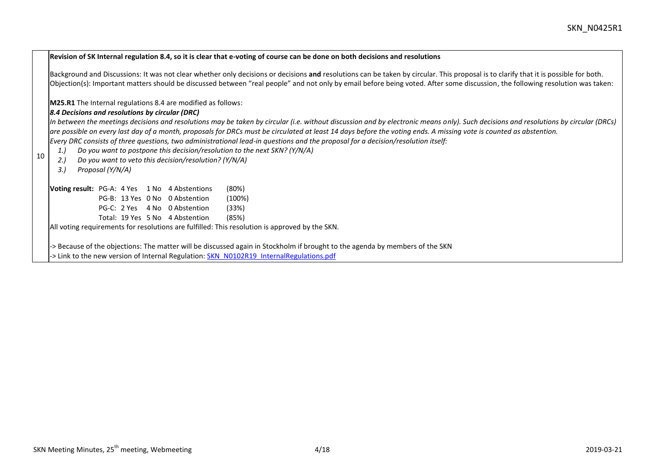|    | Revision of SK Internal regulation 8.4, so it is clear that e-voting of course can be done on both decisions and resolutions                                                                                                                                                                                                                                                                                                                                                                                                                                                                                                                                                                                                                                                                   |  |  |  |  |  |
|----|------------------------------------------------------------------------------------------------------------------------------------------------------------------------------------------------------------------------------------------------------------------------------------------------------------------------------------------------------------------------------------------------------------------------------------------------------------------------------------------------------------------------------------------------------------------------------------------------------------------------------------------------------------------------------------------------------------------------------------------------------------------------------------------------|--|--|--|--|--|
|    | Background and Discussions: It was not clear whether only decisions or decisions and resolutions can be taken by circular. This proposal is to clarify that it is possible for both.<br>Objection(s): Important matters should be discussed between "real people" and not only by email before being voted. After some discussion, the following resolution was taken:                                                                                                                                                                                                                                                                                                                                                                                                                         |  |  |  |  |  |
| 10 | M25.R1 The Internal regulations 8.4 are modified as follows:<br>8.4 Decisions and resolutions by circular (DRC)<br>In between the meetings decisions and resolutions may be taken by circular (i.e. without discussion and by electronic means only). Such decisions and resolutions by circular (DRCs)<br>are possible on every last day of a month, proposals for DRCs must be circulated at least 14 days before the voting ends. A missing vote is counted as abstention.<br>Every DRC consists of three questions, two administrational lead-in questions and the proposal for a decision/resolution itself:<br>Do you want to postpone this decision/resolution to the next SKN? (Y/N/A)<br>1.<br>Do you want to veto this decision/resolution? (Y/N/A)<br>2.<br>3.)<br>Proposal (Y/N/A) |  |  |  |  |  |
|    | (80%)<br><b>Voting result:</b> PG-A: 4 Yes 1 No 4 Abstentions<br>PG-B: 13 Yes 0 No 0 Abstention<br>(100%)<br>PG-C: 2 Yes 4 No 0 Abstention<br>(33%)<br>Total: 19 Yes 5 No 4 Abstention<br>(85%)<br>All voting requirements for resolutions are fulfilled: This resolution is approved by the SKN.                                                                                                                                                                                                                                                                                                                                                                                                                                                                                              |  |  |  |  |  |
|    | -> Because of the objections: The matter will be discussed again in Stockholm if brought to the agenda by members of the SKN                                                                                                                                                                                                                                                                                                                                                                                                                                                                                                                                                                                                                                                                   |  |  |  |  |  |

-> Link to the new version of Internal Regulation: <u>[SKN\\_N0102R19\\_InternalRegulations.pdf](http://www.estif.org/solarkeymark/Links/Internal_links/network/sknwebdoclist/SKN_N0102R19_InternalRegulations.pdf)</u>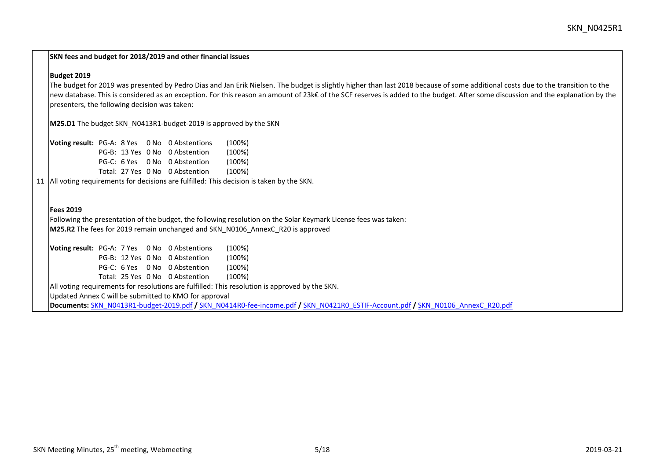#### **SKN fees and budget for 2018/2019 and other financial issues**

#### **Budget 2019**

The budget for 2019 was presented by Pedro Dias and Jan Erik Nielsen. The budget is slightly higher than last 2018 because of some additional costs due to the transition to the new database. This is considered as an exception. For this reason an amount of 23k€ of the SCF reserves is added to the budget. After some discussion and the explanation by the presenters, the following decision was taken:

**M25.D1** The budget SKN\_N0413R1-budget-2019 is approved by the SKN

**Voting result:** PG-A: 8 Yes 0 No 0 Abstentions (100%) PG-B: 13 Yes 0 No 0 Abstention (100%) PG-C: 6 Yes 0 No 0 Abstention (100%) Total: 27 Yes 0 No 0 Abstention (100%)

11 All voting requirements for decisions are fulfilled: This decision is taken by the SKN.

#### **Fees 2019**

Following the presentation of the budget, the following resolution on the Solar Keymark License fees was taken: **M25.R2** The fees for 2019 remain unchanged and SKN\_N0106\_AnnexC\_R20 is approved

**Voting result:** PG-A: 7 Yes 0 No 0 Abstentions (100%) PG-B: 12 Yes 0 No 0 Abstention (100%) PG-C: 6 Yes 0 No 0 Abstention (100%) Total: 25 Yes 0 No 0 Abstention (100%) All voting requirements for resolutions are fulfilled: This resolution is approved by the SKN. Updated Annex C will be submitted to KMO for approval **Documents:** [SKN\\_N0413R1-budget-2019.pdf](http://www.estif.org/solarkeymark/Links/Internal_links/network/sknwebdoclist/SKN_N0413R1-budget-2019.pdf) **/** [SKN\\_N0414R0-fee-income.pdf](http://www.estif.org/solarkeymark/Links/Internal_links/network/sknwebdoclist/SKN_N0414R0-fee-income.pdf) **/** [SKN\\_N0421R0\\_ESTIF-Account.pdf](http://www.estif.org/solarkeymark/Links/Internal_links/network/sknwebdoclist/SKN_N0421R0_ESTIF-Account.pdf) **/** [SKN\\_N0106\\_AnnexC\\_R20.pdf](http://www.estif.org/solarkeymark/Links/Internal_links/network/sknwebdoclist/SKN_N0106_AnnexC_R20.pdf)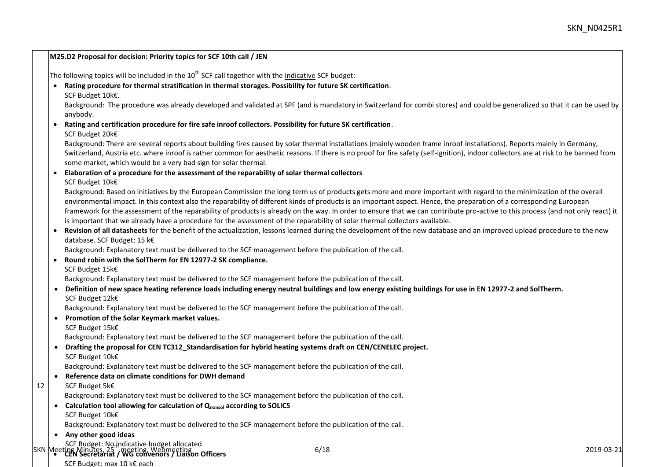|           | M25.D2 Proposal for decision: Priority topics for SCF 10th call / JEN                                                                                                                   |  |  |  |  |  |  |  |
|-----------|-----------------------------------------------------------------------------------------------------------------------------------------------------------------------------------------|--|--|--|--|--|--|--|
|           | The following topics will be included in the 10 <sup>th</sup> SCF call together with the <i>indicative</i> SCF budget:                                                                  |  |  |  |  |  |  |  |
|           | Rating procedure for thermal stratification in thermal storages. Possibility for future SK certification.                                                                               |  |  |  |  |  |  |  |
|           | SCF Budget 10k€.                                                                                                                                                                        |  |  |  |  |  |  |  |
|           | Background: The procedure was already developed and validated at SPF (and is mandatory in Switzerland for combi stores) and could be generalized so that it can be used by              |  |  |  |  |  |  |  |
|           | anybody.                                                                                                                                                                                |  |  |  |  |  |  |  |
| $\bullet$ | Rating and certification procedure for fire safe inroof collectors. Possibility for future SK certification.                                                                            |  |  |  |  |  |  |  |
|           | SCF Budget 20k€                                                                                                                                                                         |  |  |  |  |  |  |  |
|           | Background: There are several reports about building fires caused by solar thermal installations (mainly wooden frame inroof installations). Reports mainly in Germany,                 |  |  |  |  |  |  |  |
|           | Switzerland, Austria etc. where inroof is rather common for aesthetic reasons. If there is no proof for fire safety (self-ignition), indoor collectors are at risk to be banned from    |  |  |  |  |  |  |  |
|           | some market, which would be a very bad sign for solar thermal.                                                                                                                          |  |  |  |  |  |  |  |
| $\bullet$ | Elaboration of a procedure for the assessment of the reparability of solar thermal collectors                                                                                           |  |  |  |  |  |  |  |
|           | SCF Budget 10k€<br>Background: Based on initiatives by the European Commission the long term us of products gets more and more important with regard to the minimization of the overall |  |  |  |  |  |  |  |
|           | environmental impact. In this context also the reparability of different kinds of products is an important aspect. Hence, the preparation of a corresponding European                   |  |  |  |  |  |  |  |
|           | framework for the assessment of the reparability of products is already on the way. In order to ensure that we can contribute pro-active to this process (and not only react) it        |  |  |  |  |  |  |  |
|           | is important that we already have a procedure for the assessment of the reparability of solar thermal collectors available.                                                             |  |  |  |  |  |  |  |
| $\bullet$ | Revision of all datasheets for the benefit of the actualization, lessons learned during the development of the new database and an improved upload procedure to the new                 |  |  |  |  |  |  |  |
|           | database. SCF Budget: 15 k€                                                                                                                                                             |  |  |  |  |  |  |  |
|           | Background: Explanatory text must be delivered to the SCF management before the publication of the call.                                                                                |  |  |  |  |  |  |  |
|           | Round robin with the SolTherm for EN 12977-2 SK compliance.                                                                                                                             |  |  |  |  |  |  |  |
|           | SCF Budget 15k€                                                                                                                                                                         |  |  |  |  |  |  |  |
|           | Background: Explanatory text must be delivered to the SCF management before the publication of the call.                                                                                |  |  |  |  |  |  |  |
|           | Definition of new space heating reference loads including energy neutral buildings and low energy existing buildings for use in EN 12977-2 and SolTherm.                                |  |  |  |  |  |  |  |
|           | SCF Budget 12k€                                                                                                                                                                         |  |  |  |  |  |  |  |
|           | Background: Explanatory text must be delivered to the SCF management before the publication of the call.                                                                                |  |  |  |  |  |  |  |
|           | Promotion of the Solar Keymark market values.                                                                                                                                           |  |  |  |  |  |  |  |
|           | SCF Budget 15k€                                                                                                                                                                         |  |  |  |  |  |  |  |
|           | Background: Explanatory text must be delivered to the SCF management before the publication of the call.                                                                                |  |  |  |  |  |  |  |
|           | Drafting the proposal for CEN TC312_Standardisation for hybrid heating systems draft on CEN/CENELEC project.<br>SCF Budget 10k€                                                         |  |  |  |  |  |  |  |
|           | Background: Explanatory text must be delivered to the SCF management before the publication of the call.                                                                                |  |  |  |  |  |  |  |
|           | Reference data on climate conditions for DWH demand                                                                                                                                     |  |  |  |  |  |  |  |
|           | SCF Budget 5k€                                                                                                                                                                          |  |  |  |  |  |  |  |
|           | Background: Explanatory text must be delivered to the SCF management before the publication of the call.                                                                                |  |  |  |  |  |  |  |
|           | Calculation tool allowing for calculation of Qnonsol according to SOLICS                                                                                                                |  |  |  |  |  |  |  |
|           | SCF Budget 10k€                                                                                                                                                                         |  |  |  |  |  |  |  |
|           | Background: Explanatory text must be delivered to the SCF management before the publication of the call.                                                                                |  |  |  |  |  |  |  |
|           | Any other good ideas                                                                                                                                                                    |  |  |  |  |  |  |  |
|           | SCF Budget: No.indicative budget allocated<br>SKN Meeting Minutes, 25 meeting, Webmeeting<br>CEN Secretariat / WG convenors / Liaison Officers                                          |  |  |  |  |  |  |  |
|           | 6/18<br>2019-03-21                                                                                                                                                                      |  |  |  |  |  |  |  |
|           | SCF Budget: max 10 k€ each                                                                                                                                                              |  |  |  |  |  |  |  |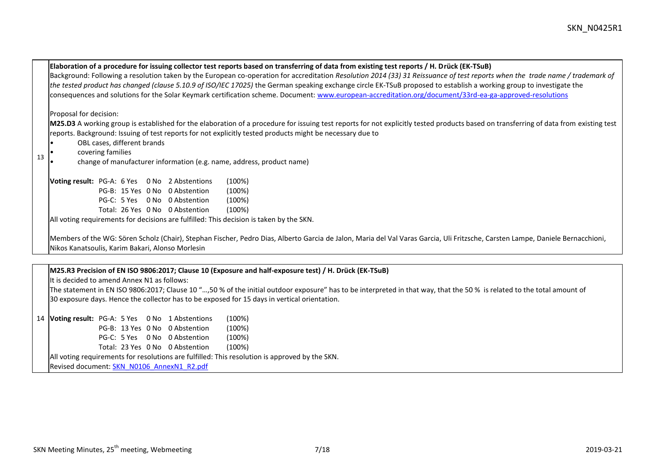**Elaboration of a procedure for issuing collector test reports based on transferring of data from existing test reports / H. Drück (EK-TSuB)** Background: Following a resolution taken by the European co-operation for accreditation *Resolution 2014 (33) 31 Reissuance of test reports when the trade name / trademark of the tested product has changed (clause 5.10.9 of ISO/IEC 17025)* the German speaking exchange circle EK-TSuB proposed to establish a working group to investigate the consequences and solutions for the Solar Keymark certification scheme. Document: [www.european-accreditation.org/document/33rd-ea-ga-approved-resolutions](http://www.european-accreditation.org/document/33rd-ea-ga-approved-resolutions) Proposal for decision: **M25.D3** A working group is established for the elaboration of a procedure for issuing test reports for not explicitly tested products based on transferring of data from existing test reports. Background: Issuing of test reports for not explicitly tested products might be necessary due to OBL cases, different brands • covering families • change of manufacturer information (e.g. name, address, product name) **Voting result:** PG-A: 6 Yes 0 No 2 Abstentions (100%) PG-B: 15 Yes 0 No 0 Abstention (100%) PG-C: 5 Yes 0 No 0 Abstention (100%) Total: 26 Yes 0 No 0 Abstention (100%) All voting requirements for decisions are fulfilled: This decision is taken by the SKN. Members of the WG: Sören Scholz (Chair), Stephan Fischer, Pedro Dias, Alberto Garcia de Jalon, Maria del Val Varas Garcia, Uli Fritzsche, Carsten Lampe, Daniele Bernacchioni, Nikos Kanatsoulis, Karim Bakari, Alonso Morlesin

#### **M25.R3 Precision of EN ISO 9806:2017; Clause 10 (Exposure and half-exposure test) / H. Drück (EK-TSuB)**

It is decided to amend Annex N1 as follows:

13

The statement in EN ISO 9806:2017; Clause 10 "…,50 % of the initial outdoor exposure" has to be interpreted in that way, that the 50 % is related to the total amount of 30 exposure days. Hence the collector has to be exposed for 15 days in vertical orientation.

14 **Voting result:** PG-A: 5 Yes 0 No 1 Abstentions (100%) PG-B: 13 Yes 0 No 0 Abstention (100%) PG-C: 5 Yes 0 No 0 Abstention (100%) Total: 23 Yes 0 No 0 Abstention (100%) All voting requirements for resolutions are fulfilled: This resolution is approved by the SKN. Revised document: [SKN\\_N0106\\_AnnexN1\\_R2.pdf](http://www.estif.org/solarkeymark/Links/Internal_links/network/sknwebdoclist/SKN_N0106_AnnexN1_R2.pdf)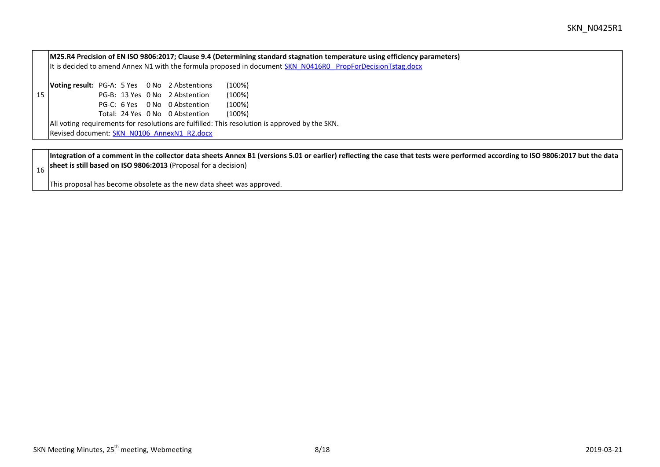15 **M25.R4 Precision of EN ISO 9806:2017; Clause 9.4 (Determining standard stagnation temperature using efficiency parameters)** It is decided to amend Annex N1 with the formula proposed in document [SKN\\_N0416R0\\_ PropForDecisionTstag.docx](http://www.estif.org/solarkeymark/Links/Internal_links/network/sknwebdoclist/SKN_N0416R0_%20PropForDecisionTstag.docx) **Voting result:** PG-A: 5 Yes 0 No 2 Abstentions (100%) PG-B: 13 Yes 0 No 2 Abstention (100%) PG-C: 6 Yes 0 No 0 Abstention (100%) Total: 24 Yes 0 No 0 Abstention (100%) All voting requirements for resolutions are fulfilled: This resolution is approved by the SKN. Revised document: **SKN N0106 AnnexN1 R2.docx** 

**Integration of a comment in the collector data sheets Annex B1 (versions 5.01 or earlier) reflecting the case that tests were performed according to ISO 9806:2017 but the data sheet is still based on ISO 9806:2013** (Proposal for a decision)

This proposal has become obsolete as the new data sheet was approved.

16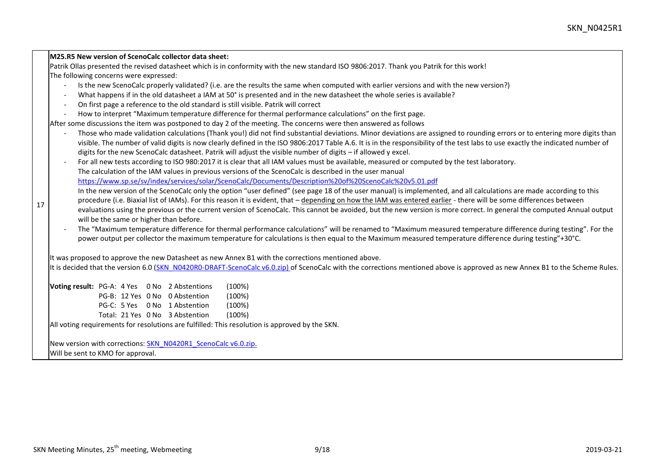| THE MILL WILL LIFE COLLECTIONS INCLINIONED ADOVE.                                                                       |
|-------------------------------------------------------------------------------------------------------------------------|
| -ScenoCalc v6.0.zip) of ScenoCalc with the corrections mentioned above is approved as new Annex B1 to the Scheme Rules. |
| (100%)                                                                                                                  |
| (100%)                                                                                                                  |
| (100%)                                                                                                                  |
| (100%)                                                                                                                  |
| resolution is approved by the SKN.                                                                                      |
| $c$ v6.0.zip.                                                                                                           |
|                                                                                                                         |
|                                                                                                                         |
|                                                                                                                         |
|                                                                                                                         |
|                                                                                                                         |
|                                                                                                                         |

- Is the new ScenoCalc properly validated? (i.e. are the results the same when computed with earlier versions and with the new version?) - What happens if in the old datasheet a IAM at 50° is presented and in the new datasheet the whole series is available?

Patrik Ollas presented the revised datasheet which is in conformity with the new standard ISO 9806:2017. Thank you Patrik for this work!

- On first page a reference to the old standard is still visible. Patrik will correct

**M25.R5 New version of ScenoCalc collector data sheet:**

The following concerns were expressed:

- How to interpret "Maximum temperature difference for thermal performance calculations" on the first page.

After some discussions the item was postponed to day 2 of the meeting. The concerns were then answered as follows

- Those who made validation calculations (Thank you!) did not find substantial deviations. Minor deviations are assigned to rounding errors or to entering more digits than visible. The number of valid digits is now clearly defined in the ISO 9806:2017 Table A.6. It is in the responsibility of the test labs to use exactly the indicated number of digits for the new ScenoCalc datasheet. Patrik will adjust the visible number of digits – if allowed y excel.
- For all new tests according to ISO 980:2017 it is clear that all IAM values must be available, measured or computed by the test laboratory. The calculation of the IAM values in previous versions of the ScenoCalc is described in the user manual <https://www.sp.se/sv/index/services/solar/ScenoCalc/Documents/Description%20of%20ScenoCalc%20v5.01.pdf>
- In the new version of the ScenoCalc only the option "user defined" (see page 18 of the user manual) is implemented, and all calculations are made according to this procedure (i.e. Biaxial list of IAMs). For this reason it is evident, that – depending on how the IAM was entered earlier - there will be some differences between evaluations using the previous or the current version of ScenoCalc. This cannot be avoided, but the new version is more correct. In general the computed Annual output will be the same or higher than before.
- The "Maximum temperature difference for thermal performance calculations" will be renamed to "Maximum measured temperature difference during testing". For the power output per collector the maximum temperature for calculations is then equal to the Maximum measured temperature difference during testing"+30°C.

It was proposed to approve the new Datasheet as new Annex B1 with the corrections mentioned above.

It is decided that the version 6.0 (SKN\_N0420R0-DRAFT-

**Voting result:** PG-A: 4 Yes 0 No 2 Abstentions PG-B: 12 Yes 0 No 0 Abstention

17

PG-C: 5 Yes 0 No 1 Abstention

Total: 21 Yes 0 No 3 Abstention

All voting requirements for resolutions are fulfilled: This

New version with corrections: SKN\_N0420R1\_ScenoCale Will be sent to KMO for approval.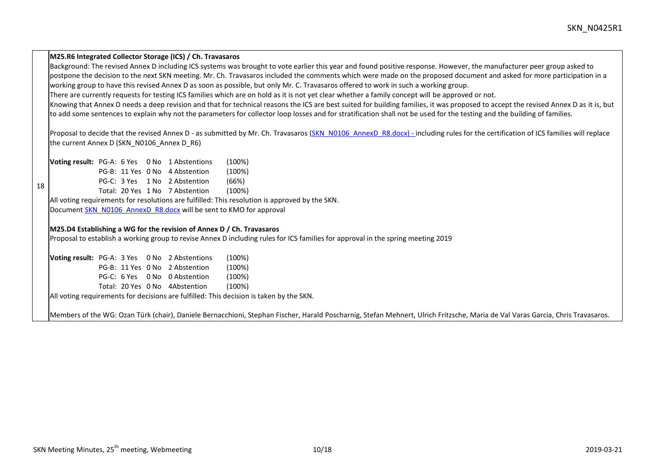#### **M25.R6 Integrated Collector Storage (ICS) / Ch. Travasaros**

Background: The revised Annex D including ICS systems was brought to vote earlier this year and found positive response. However, the manufacturer peer group asked to postpone the decision to the next SKN meeting. Mr. Ch. Travasaros included the comments which were made on the proposed document and asked for more participation in a working group to have this revised Annex D as soon as possible, but only Mr. C. Travasaros offered to work in such a working group.

There are currently requests for testing ICS families which are on hold as it is not yet clear whether a family concept will be approved or not.

Knowing that Annex D needs a deep revision and that for technical reasons the ICS are best suited for building families, it was proposed to accept the revised Annex D as it is, but to add some sentences to explain why not the parameters for collector loop losses and for stratification shall not be used for the testing and the building of families.

Proposal to decide that the revised Annex D - as submitted by Mr. Ch. Travasaros [\(SKN\\_N0106\\_AnnexD\\_R8.docx\)](http://www.estif.org/solarkeymark/Links/Internal_links/network/sknwebdoclist/SKN_N0106_AnnexD_R8.docx) - including rules for the certification of ICS families will replace the current Annex D (SKN\_N0106\_Annex D\_R6)

**Voting result:** PG-A: 6 Yes 0 No 1 Abstentions (100%)

18

PG-B: 11 Yes 0 No 4 Abstention (100%)

PG-C: 3 Yes 1 No 2 Abstention (66%)

Total: 20 Yes 1 No 7 Abstention (100%)

All voting requirements for resolutions are fulfilled: This resolution is approved by the SKN. Document [SKN\\_N0106\\_AnnexD\\_R8.docx](http://www.estif.org/solarkeymark/Links/Internal_links/network/sknwebdoclist/SKN_N0106_AnnexD_R8.docx) will be sent to KMO for approval

#### **M25.D4 Establishing a WG for the revision of Annex D / Ch. Travasaros**

Proposal to establish a working group to revise Annex D including rules for ICS families for approval in the spring meeting 2019

**Voting result:** PG-A: 3 Yes 0 No 2 Abstentions (100%) PG-B: 11 Yes 0 No 2 Abstention (100%) PG-C: 6 Yes 0 No 0 Abstention (100%) Total: 20 Yes 0 No 4Abstention (100%)

All voting requirements for decisions are fulfilled: This decision is taken by the SKN.

Members of the WG: Ozan Türk (chair), Daniele Bernacchioni, Stephan Fischer, Harald Poscharnig, Stefan Mehnert, Ulrich Fritzsche, Maria de Val Varas Garcia, Chris Travasaros.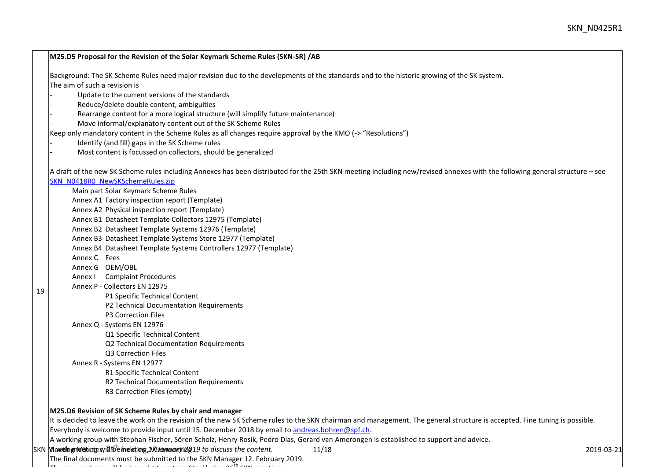|    | M25.D5 Proposal for the Revision of the Solar Keymark Scheme Rules (SKN-SR) /AB                                                                                             |            |
|----|-----------------------------------------------------------------------------------------------------------------------------------------------------------------------------|------------|
|    | Background: The SK Scheme Rules need major revision due to the developments of the standards and to the historic growing of the SK system.                                  |            |
|    | The aim of such a revision is                                                                                                                                               |            |
|    | Update to the current versions of the standards                                                                                                                             |            |
|    | Reduce/delete double content, ambiguities                                                                                                                                   |            |
|    | Rearrange content for a more logical structure (will simplify future maintenance)                                                                                           |            |
|    | Move informal/explanatory content out of the SK Scheme Rules                                                                                                                |            |
|    | Keep only mandatory content in the Scheme Rules as all changes require approval by the KMO (-> "Resolutions")                                                               |            |
|    | Identify (and fill) gaps in the SK Scheme rules                                                                                                                             |            |
|    | Most content is focussed on collectors, should be generalized                                                                                                               |            |
|    | A draft of the new SK Scheme rules including Annexes has been distributed for the 25th SKN meeting including new/revised annexes with the following general structure – see |            |
|    | SKN N0418R0 NewSKSchemeRules.zip                                                                                                                                            |            |
|    | Main part Solar Keymark Scheme Rules                                                                                                                                        |            |
|    | Annex A1 Factory inspection report (Template)                                                                                                                               |            |
|    | Annex A2 Physical inspection report (Template)                                                                                                                              |            |
|    | Annex B1 Datasheet Template Collectors 12975 (Template)                                                                                                                     |            |
|    | Annex B2 Datasheet Template Systems 12976 (Template)                                                                                                                        |            |
|    | Annex B3 Datasheet Template Systems Store 12977 (Template)                                                                                                                  |            |
|    | Annex B4 Datasheet Template Systems Controllers 12977 (Template)                                                                                                            |            |
|    | Annex C Fees                                                                                                                                                                |            |
|    | Annex G OEM/OBL                                                                                                                                                             |            |
|    | Annex   Complaint Procedures                                                                                                                                                |            |
| 19 | Annex P - Collectors EN 12975                                                                                                                                               |            |
|    | P1 Specific Technical Content                                                                                                                                               |            |
|    | P2 Technical Documentation Requirements                                                                                                                                     |            |
|    | P3 Correction Files                                                                                                                                                         |            |
|    | Annex Q - Systems EN 12976                                                                                                                                                  |            |
|    | Q1 Specific Technical Content                                                                                                                                               |            |
|    | Q2 Technical Documentation Requirements                                                                                                                                     |            |
|    | Q3 Correction Files                                                                                                                                                         |            |
|    | Annex R - Systems EN 12977                                                                                                                                                  |            |
|    | R1 Specific Technical Content                                                                                                                                               |            |
|    | R2 Technical Documentation Requirements                                                                                                                                     |            |
|    | R3 Correction Files (empty)                                                                                                                                                 |            |
|    | M25.D6 Revision of SK Scheme Rules by chair and manager                                                                                                                     |            |
|    | It is decided to leave the work on the revision of the new SK Scheme rules to the SKN chairman and management. The general structure is accepted. Fine tuning is possible.  |            |
|    | Everybody is welcome to provide input until 15. December 2018 by email to andreas.bohren@spf.ch.                                                                            |            |
|    | A working group with Stephan Fischer, Sören Scholz, Henry Rosik, Pedro Dias, Gerard van Amerongen is established to support and advice.                                     |            |
|    | SKN Mereta proptime syid ti <sup>b</sup> helet ang, 177 domne exi2019 to discuss the content.<br>11/18                                                                      | 2019-03-21 |
|    | The final documents must be submitted to the SKN Manager 12. February 2019.                                                                                                 |            |

 $T$  and  $T$  and  $T$  in Stockholm, 26th SKN meeting in Stockholm, 26th SKN meeting in Stockholm, 26th SKN meeting in Stockholm, 26th SKN meeting in Stockholm, 26th SKN meeting in Stockholm, 26th SKN meeting in Stockholm, 2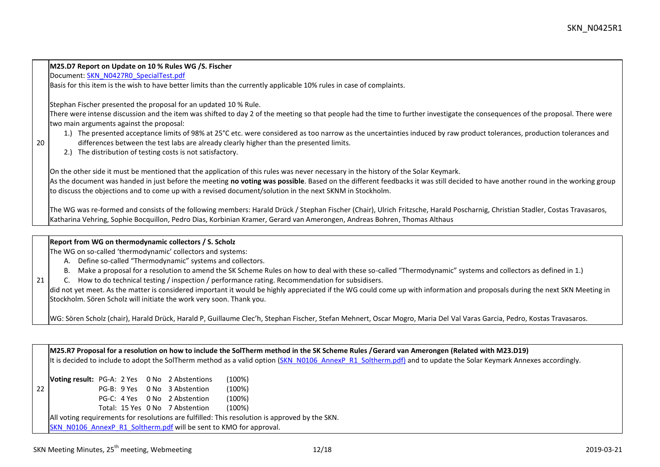#### **M25.D7 Report on Update on 10 % Rules WG /S. Fischer**

Document: [SKN\\_N0427R0\\_SpecialTest.pdf](http://www.estif.org/solarkeymark/Links/Internal_links/network/sknwebdoclist/SKN_N0427R0_SpecialTest.pdf)

Basis for this item is the wish to have better limits than the currently applicable 10% rules in case of complaints.

Stephan Fischer presented the proposal for an updated 10 % Rule.

There were intense discussion and the item was shifted to day 2 of the meeting so that people had the time to further investigate the consequences of the proposal. There were two main arguments against the proposal:

- 1.) The presented acceptance limits of 98% at 25°C etc. were considered as too narrow as the uncertainties induced by raw product tolerances, production tolerances and differences between the test labs are already clearly higher than the presented limits.
- 20

21

2.) The distribution of testing costs is not satisfactory.

On the other side it must be mentioned that the application of this rules was never necessary in the history of the Solar Keymark.

As the document was handed in just before the meeting **no voting was possible**. Based on the different feedbacks it was still decided to have another round in the working group to discuss the objections and to come up with a revised document/solution in the next SKNM in Stockholm.

The WG was re-formed and consists of the following members: Harald Drück / Stephan Fischer (Chair), Ulrich Fritzsche, Harald Poscharnig, Christian Stadler, Costas Travasaros, Katharina Vehring, Sophie Bocquillon, Pedro Dias, Korbinian Kramer, Gerard van Amerongen, Andreas Bohren, Thomas Althaus

#### **Report from WG on thermodynamic collectors / S. Scholz**

The WG on so-called 'thermodynamic' collectors and systems:

- A. Define so-called "Thermodynamic" systems and collectors.
- B. Make a proposal for a resolution to amend the SK Scheme Rules on how to deal with these so-called "Thermodynamic" systems and collectors as defined in 1.)
- C. How to do technical testing / inspection / performance rating. Recommendation for subsidisers.

did not yet meet. As the matter is considered important it would be highly appreciated if the WG could come up with information and proposals during the next SKN Meeting in Stockholm. Sören Scholz will initiate the work very soon. Thank you.

WG: Sören Scholz (chair), Harald Drück, Harald P, Guillaume Clec'h, Stephan Fischer, Stefan Mehnert, Oscar Mogro, Maria Del Val Varas Garcia, Pedro, Kostas Travasaros.

|    | M25.R7 Proposal for a resolution on how to include the SolTherm method in the SK Scheme Rules /Gerard van Amerongen (Related with M23.D19)                           |  |  |  |                                                      |        |  |
|----|----------------------------------------------------------------------------------------------------------------------------------------------------------------------|--|--|--|------------------------------------------------------|--------|--|
|    | It is decided to include to adopt the SolTherm method as a valid option (SKN N0106 AnnexP R1 Soltherm.pdf) and to update the Solar Keymark Annexes accordingly.      |  |  |  |                                                      |        |  |
|    |                                                                                                                                                                      |  |  |  | <b>Voting result:</b> PG-A: 2 Yes 0 No 2 Abstentions | (100%) |  |
| 22 |                                                                                                                                                                      |  |  |  | PG-B: 9 Yes 0 No 3 Abstention                        | (100%) |  |
|    |                                                                                                                                                                      |  |  |  | PG-C: 4 Yes 0 No 2 Abstention                        | (100%) |  |
|    |                                                                                                                                                                      |  |  |  | Total: 15 Yes 0 No 7 Abstention                      | (100%) |  |
|    | All voting requirements for resolutions are fulfilled: This resolution is approved by the SKN.<br>SKN N0106 AnnexP R1 Soltherm.pdf will be sent to KMO for approval. |  |  |  |                                                      |        |  |
|    |                                                                                                                                                                      |  |  |  |                                                      |        |  |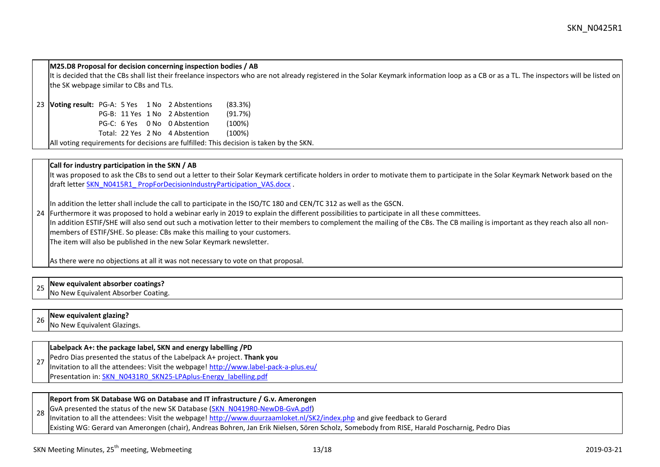#### **M25.D8 Proposal for decision concerning inspection bodies / AB**

It is decided that the CBs shall list their freelance inspectors who are not already registered in the Solar Keymark information loop as a CB or as a TL. The inspectors will be listed on the SK webpage similar to CBs and TLs.

23 **Voting result:** PG-A: 5 Yes 1 No 2 Abstentions (83.3%) PG-B: 11 Yes 1 No 2 Abstention (91.7%) PG-C: 6 Yes 0 No 0 Abstention (100%) Total: 22 Yes 2 No 4 Abstention (100%) All voting requirements for decisions are fulfilled: This decision is taken by the SKN.

#### **Call for industry participation in the SKN / AB**

It was proposed to ask the CBs to send out a letter to their Solar Keymark certificate holders in order to motivate them to participate in the Solar Keymark Network based on the draft letter [SKN\\_N0415R1\\_ PropForDecisionIndustryParticipation\\_VAS.docx](http://www.estif.org/solarkeymark/Links/Internal_links/network/sknwebdoclist/SKN_N0415R1_%20PropForDecisionIndustryParticipation_VAS.docx) .

In addition the letter shall include the call to participate in the ISO/TC 180 and CEN/TC 312 as well as the GSCN.

24 Furthermore it was proposed to hold a webinar early in 2019 to explain the different possibilities to participate in all these committees. In addition ESTIF/SHE will also send out such a motivation letter to their members to complement the mailing of the CBs. The CB mailing is important as they reach also all nonmembers of ESTIF/SHE. So please: CBs make this mailing to your customers. The item will also be published in the new Solar Keymark newsletter.

As there were no objections at all it was not necessary to vote on that proposal.

## <sup>25</sup> **New equivalent absorber coatings?**

No New Equivalent Absorber Coating.

## <sup>26</sup> **New equivalent glazing?**

No New Equivalent Glazings.

**Labelpack A+: the package label, SKN and energy labelling /PD**

Pedro Dias presented the status of the Labelpack A+ project. **Thank you**

 $27$ Invitation to all the attendees: Visit the webpage! <http://www.label-pack-a-plus.eu/>

Presentation in[: SKN\\_N0431R0\\_SKN25-LPAplus-Energy\\_labelling.pdf](http://www.estif.org/solarkeymark/Links/Internal_links/network/sknwebdoclist/SKN_N0431R0_SKN25-LPAplus-Energy_labelling.pdf)

### **Report from SK Database WG on Database and IT infrastructure / G.v. Amerongen**

28 GvA presented the status of the new SK Database [\(SKN\\_N0419R0-NewDB-GvA.pdf\)](http://www.estif.org/solarkeymark/Links/Internal_links/network/sknwebdoclist/SKN_N0419R0-NewDB-GvA.pdf) Invitation to all the attendees: Visit the webpage! <http://www.duurzaamloket.nl/SK2/index.php> and give feedback to Gerard

Existing WG: Gerard van Amerongen (chair), Andreas Bohren, Jan Erik Nielsen, Sören Scholz, Somebody from RISE, Harald Poscharnig, Pedro Dias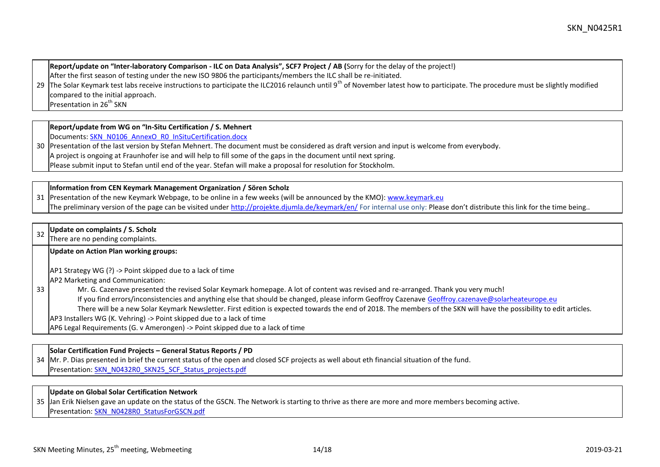## **Report/update on "Inter-laboratory Comparison - ILC on Data Analysis", SCF7 Project / AB (**Sorry for the delay of the project!)

After the first season of testing under the new ISO 9806 the participants/members the ILC shall be re-initiated.

29 The Solar Keymark test labs receive instructions to participate the ILC2016 relaunch until 9<sup>th</sup> of November latest how to participate. The procedure must be slightly modified compared to the initial approach. Presentation in 26<sup>th</sup> SKN

#### **Report/update from WG on "In-Situ Certification / S. Mehnert**

Documents: [SKN\\_N0106\\_AnnexO\\_R0\\_InSituCertification.docx](http://www.estif.org/solarkeymark/Links/Internal_links/network/sknwebdoclist/SKN_N0106_AnnexO_R0_InSituCertification.docx)

30 Presentation of the last version by Stefan Mehnert. The document must be considered as draft version and input is welcome from everybody. A project is ongoing at Fraunhofer ise and will help to fill some of the gaps in the document until next spring. Please submit input to Stefan until end of the year. Stefan will make a proposal for resolution for Stockholm.

#### **Information from CEN Keymark Management Organization / Sören Scholz**

31 |Presentation of the new Keymark Webpage, to be online in a few weeks (will be announced by the KMO): <u>www.keymark.eu</u> The preliminary version of the page can be visited under <http://projekte.djumla.de/keymark/en/> For internal use only: Please don't distribute this link for the time being..

## <sup>32</sup> **Update on complaints / S. Scholz**

There are no pending complaints.

#### **Update on Action Plan working groups:**

AP1 Strategy WG (?) -> Point skipped due to a lack of time

AP2 Marketing and Communication:

33

Mr. G. Cazenave presented the revised Solar Keymark homepage. A lot of content was revised and re-arranged. Thank you very much!

If you find errors/inconsistencies and anything else that should be changed, please inform Geoffroy Cazenave [Geoffroy.cazenave@solarheateurope.eu](mailto:Geoffroy.cazenave@solarheateurope.eu)

There will be a new Solar Keymark Newsletter. First edition is expected towards the end of 2018. The members of the SKN will have the possibility to edit articles.

AP3 Installers WG (K. Vehring) -> Point skipped due to a lack of time

AP6 Legal Requirements (G. v Amerongen) -> Point skipped due to a lack of time

#### **Solar Certification Fund Projects – General Status Reports / PD**

34 Mr. P. Dias presented in brief the current status of the open and closed SCF projects as well about eth financial situation of the fund.

Presentation[: SKN\\_N0432R0\\_SKN25\\_SCF\\_Status\\_projects.pdf](http://www.estif.org/solarkeymark/Links/Internal_links/network/sknwebdoclist/SKN_N0432R0_SKN25_SCF_Status_projects.pdf)

#### **Update on Global Solar Certification Network**

35 Jan Erik Nielsen gave an update on the status of the GSCN. The Network is starting to thrive as there are more and more members becoming active. Presentation[: SKN\\_N0428R0\\_StatusForGSCN.pdf](http://www.estif.org/solarkeymark/Links/Internal_links/network/sknwebdoclist/SKN_N0428R0_StatusForGSCN.pdf)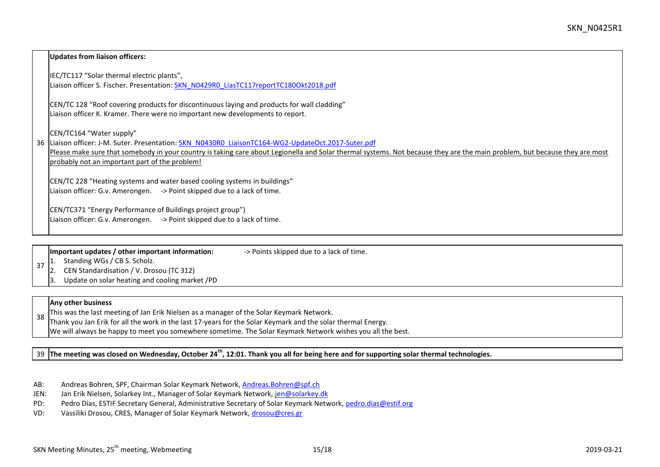| IEC/TC117 "Solar thermal electric plants",<br>Liaison officer S. Fischer. Presentation: SKN N0429R0 LiasTC117reportTC180Okt2018.pdf                                           |  |  |  |  |  |  |  |
|-------------------------------------------------------------------------------------------------------------------------------------------------------------------------------|--|--|--|--|--|--|--|
| CEN/TC 128 "Roof covering products for discontinuous laying and products for wall cladding"<br>Liaison officer K. Kramer. There were no important new developments to report. |  |  |  |  |  |  |  |
| CEN/TC164 "Water supply"                                                                                                                                                      |  |  |  |  |  |  |  |
| 36  Liaison officer: J-M. Suter. Presentation: SKN N0430R0 LiaisonTC164-WG2-UpdateOct.2017-Suter.pdf                                                                          |  |  |  |  |  |  |  |
| Please make sure that somebody in your country is taking care about Legionella and Solar thermal systems. Not because they are the main problem, but because they are most    |  |  |  |  |  |  |  |
| probably not an important part of the problem!                                                                                                                                |  |  |  |  |  |  |  |
| CEN/TC 228 "Heating systems and water based cooling systems in buildings"<br>Liaison officer: G.v. Amerongen. -> Point skipped due to a lack of time.                         |  |  |  |  |  |  |  |
| (CEN/TC371 "Energy Performance of Buildings project group")                                                                                                                   |  |  |  |  |  |  |  |
| Liaison officer: G.v. Amerongen. -> Point skipped due to a lack of time.                                                                                                      |  |  |  |  |  |  |  |

| Important updates / other important information:                                                        |
|---------------------------------------------------------------------------------------------------------|
| ١a<br>$C_{\text{max}}$ dia = $M/C_{\text{max}}$ / $CD_{\text{max}}$ $C_{\text{max}}$ = $L_{\text{max}}$ |

-> Points skipped due to a lack of time.

37 Standing WGs / CB S. Scholz.

**Updates from liaison officers:**

2. CEN Standardisation / V. Drosou (TC 312)

3. Update on solar heating and cooling market /PD

## **Any other business**

38 This was the last meeting of Jan Erik Nielsen as a manager of the Solar Keymark Network. Thank you Jan Erik for all the work in the last 17-years for the Solar Keymark and the solar thermal Energy. We will always be happy to meet you somewhere sometime. The Solar Keymark Network wishes you all the best.

39 **The meeting was closed on Wednesday, October 24th, 12:01. Thank you all for being here and for supporting solar thermal technologies.**

- AB: Andreas Bohren, SPF, Chairman Solar Keymark Network, [Andreas.Bohren@spf.ch](mailto:Andreas.Bohren@spf.ch)
- JEN: Jan Erik Nielsen, Solarkey Int., Manager of Solar Keymark Network, [jen@solarkey.dk](mailto:jen@solarkey.dk)
- PD: Pedro Dias, ESTIF Secretary General, Administrative Secretary of Solar Keymark Network, [pedro.dias@estif.org](mailto:pedro.dias@estif.org)
- VD: Vassiliki Drosou, CRES, Manager of Solar Keymark Network, drosou@cres.gr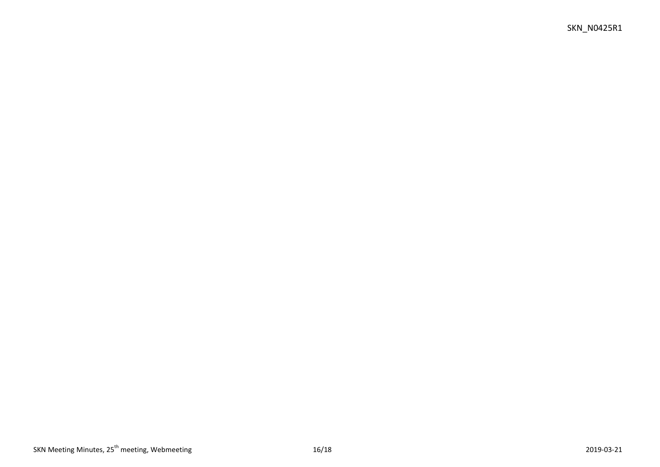## SKN\_N0425R1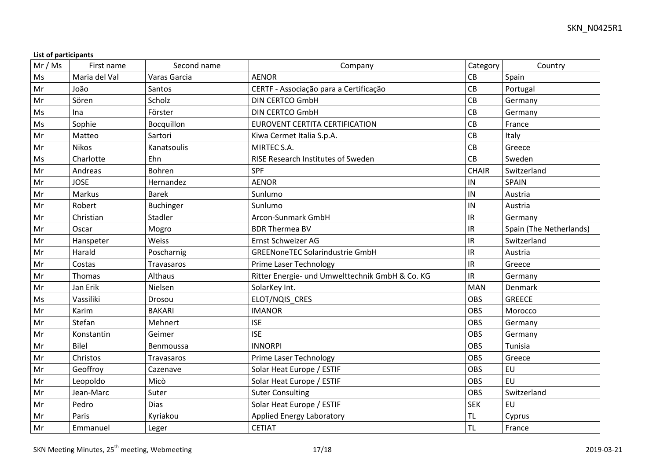## **List of participants**

| Mr/Ms | First name    | Second name       | Company                                         | Category                          | Country                 |
|-------|---------------|-------------------|-------------------------------------------------|-----------------------------------|-------------------------|
| Ms    | Maria del Val | Varas Garcia      | <b>AENOR</b>                                    | CB                                | Spain                   |
| Mr    | João          | Santos            | CERTF - Associação para a Certificação          | CB                                | Portugal                |
| Mr    | Sören         | Scholz            | <b>DIN CERTCO GmbH</b>                          | CB                                | Germany                 |
| Ms    | Ina           | Förster           | <b>DIN CERTCO GmbH</b>                          | CB                                | Germany                 |
| Ms    | Sophie        | <b>Bocquillon</b> | EUROVENT CERTITA CERTIFICATION                  | CB                                | France                  |
| Mr    | Matteo        | Sartori           | Kiwa Cermet Italia S.p.A.                       | CB                                | Italy                   |
| Mr    | <b>Nikos</b>  | Kanatsoulis       | MIRTEC S.A.                                     | CB                                | Greece                  |
| Ms    | Charlotte     | Ehn               | RISE Research Institutes of Sweden              | CB                                | Sweden                  |
| Mr    | Andreas       | <b>Bohren</b>     | SPF                                             | <b>CHAIR</b>                      | Switzerland             |
| Mr    | <b>JOSE</b>   | Hernandez         | <b>AENOR</b>                                    | IN                                | <b>SPAIN</b>            |
| Mr    | Markus        | <b>Barek</b>      | Sunlumo                                         | IN                                | Austria                 |
| Mr    | Robert        | <b>Buchinger</b>  | Sunlumo                                         | IN                                | Austria                 |
| Mr    | Christian     | Stadler           | Arcon-Sunmark GmbH                              | IR                                | Germany                 |
| Mr    | Oscar         | Mogro             | <b>BDR Thermea BV</b>                           | IR                                | Spain (The Netherlands) |
| Mr    | Hanspeter     | Weiss             | Ernst Schweizer AG                              | IR                                | Switzerland             |
| Mr    | Harald        | Poscharnig        | <b>GREENoneTEC Solarindustrie GmbH</b>          | $\ensuremath{\mathsf{IR}}\xspace$ | Austria                 |
| Mr    | Costas        | <b>Travasaros</b> | <b>Prime Laser Technology</b>                   | IR                                | Greece                  |
| Mr    | Thomas        | Althaus           | Ritter Energie- und Umwelttechnik GmbH & Co. KG | IR                                | Germany                 |
| Mr    | Jan Erik      | Nielsen           | SolarKey Int.                                   | <b>MAN</b>                        | Denmark                 |
| Ms    | Vassiliki     | Drosou            | ELOT/NQIS CRES                                  | <b>OBS</b>                        | <b>GREECE</b>           |
| Mr    | Karim         | <b>BAKARI</b>     | <b>IMANOR</b>                                   | OBS                               | Morocco                 |
| Mr    | Stefan        | Mehnert           | <b>ISE</b>                                      | OBS                               | Germany                 |
| Mr    | Konstantin    | Geimer            | <b>ISE</b>                                      | OBS                               | Germany                 |
| Mr    | <b>Bilel</b>  | Benmoussa         | <b>INNORPI</b>                                  | OBS                               | Tunisia                 |
| Mr    | Christos      | Travasaros        | <b>Prime Laser Technology</b>                   | OBS                               | Greece                  |
| Mr    | Geoffroy      | Cazenave          | Solar Heat Europe / ESTIF                       | OBS                               | EU                      |
| Mr    | Leopoldo      | Micò              | Solar Heat Europe / ESTIF                       | OBS                               | EU                      |
| Mr    | Jean-Marc     | Suter             | <b>Suter Consulting</b>                         | OBS                               | Switzerland             |
| Mr    | Pedro         | Dias              | Solar Heat Europe / ESTIF                       | <b>SEK</b>                        | EU                      |
| Mr    | Paris         | Kyriakou          | Applied Energy Laboratory                       | <b>TL</b>                         | Cyprus                  |
| Mr    | Emmanuel      | Leger             | <b>CETIAT</b>                                   | <b>TL</b>                         | France                  |